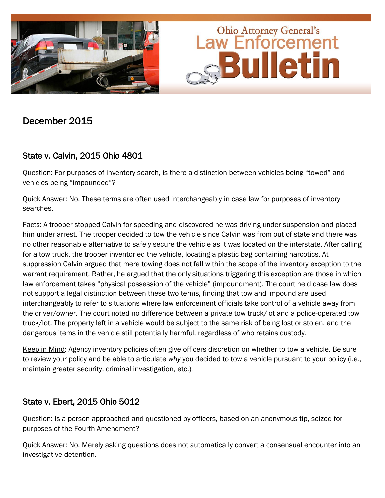

# December 2015

## State v. Calvin, 2015 Ohio 4801

Question: For purposes of inventory search, is there a distinction between vehicles being "towed" and vehicles being "impounded"?

Quick Answer: No. These terms are often used interchangeably in case law for purposes of inventory searches.

Facts: A trooper stopped Calvin for speeding and discovered he was driving under suspension and placed him under arrest. The trooper decided to tow the vehicle since Calvin was from out of state and there was no other reasonable alternative to safely secure the vehicle as it was located on the interstate. After calling for a tow truck, the trooper inventoried the vehicle, locating a plastic bag containing narcotics. At suppression Calvin argued that mere towing does not fall within the scope of the inventory exception to the warrant requirement. Rather, he argued that the only situations triggering this exception are those in which law enforcement takes "physical possession of the vehicle" (impoundment). The court held case law does not support a legal distinction between these two terms, finding that tow and impound are used interchangeably to refer to situations where law enforcement officials take control of a vehicle away from the driver/owner. The court noted no difference between a private tow truck/lot and a police-operated tow truck/lot. The property left in a vehicle would be subject to the same risk of being lost or stolen, and the dangerous items in the vehicle still potentially harmful, regardless of who retains custody.

Keep in Mind: Agency inventory policies often give officers discretion on whether to tow a vehicle. Be sure to review your policy and be able to articulate *why* you decided to tow a vehicle pursuant to your policy (i.e., maintain greater security, criminal investigation, etc.).

## State v. Ebert, 2015 Ohio 5012

Question: Is a person approached and questioned by officers, based on an anonymous tip, seized for purposes of the Fourth Amendment?

Quick Answer: No. Merely asking questions does not automatically convert a consensual encounter into an investigative detention.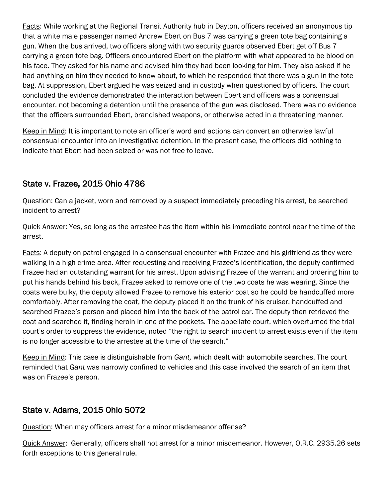Facts: While working at the Regional Transit Authority hub in Dayton, officers received an anonymous tip that a white male passenger named Andrew Ebert on Bus 7 was carrying a green tote bag containing a gun. When the bus arrived, two officers along with two security guards observed Ebert get off Bus 7 carrying a green tote bag. Officers encountered Ebert on the platform with what appeared to be blood on his face. They asked for his name and advised him they had been looking for him. They also asked if he had anything on him they needed to know about, to which he responded that there was a gun in the tote bag. At suppression, Ebert argued he was seized and in custody when questioned by officers. The court concluded the evidence demonstrated the interaction between Ebert and officers was a consensual encounter, not becoming a detention until the presence of the gun was disclosed. There was no evidence that the officers surrounded Ebert, brandished weapons, or otherwise acted in a threatening manner.

Keep in Mind: It is important to note an officer's word and actions can convert an otherwise lawful consensual encounter into an investigative detention. In the present case, the officers did nothing to indicate that Ebert had been seized or was not free to leave.

### State v. Frazee, 2015 Ohio 4786

Question: Can a jacket, worn and removed by a suspect immediately preceding his arrest, be searched incident to arrest?

Quick Answer: Yes, so long as the arrestee has the item within his immediate control near the time of the arrest.

Facts: A deputy on patrol engaged in a consensual encounter with Frazee and his girlfriend as they were walking in a high crime area. After requesting and receiving Frazee's identification, the deputy confirmed Frazee had an outstanding warrant for his arrest. Upon advising Frazee of the warrant and ordering him to put his hands behind his back, Frazee asked to remove one of the two coats he was wearing. Since the coats were bulky, the deputy allowed Frazee to remove his exterior coat so he could be handcuffed more comfortably. After removing the coat, the deputy placed it on the trunk of his cruiser, handcuffed and searched Frazee's person and placed him into the back of the patrol car. The deputy then retrieved the coat and searched it, finding heroin in one of the pockets. The appellate court, which overturned the trial court's order to suppress the evidence, noted "the right to search incident to arrest exists even if the item is no longer accessible to the arrestee at the time of the search."

Keep in Mind: This case is distinguishable from *Gant,* which dealt with automobile searches. The court reminded that *Gant* was narrowly confined to vehicles and this case involved the search of an item that was on Frazee's person.

#### State v. Adams, 2015 Ohio 5072

Question: When may officers arrest for a minor misdemeanor offense?

Quick Answer: Generally, officers shall not arrest for a minor misdemeanor. However, O.R.C. 2935.26 sets forth exceptions to this general rule.